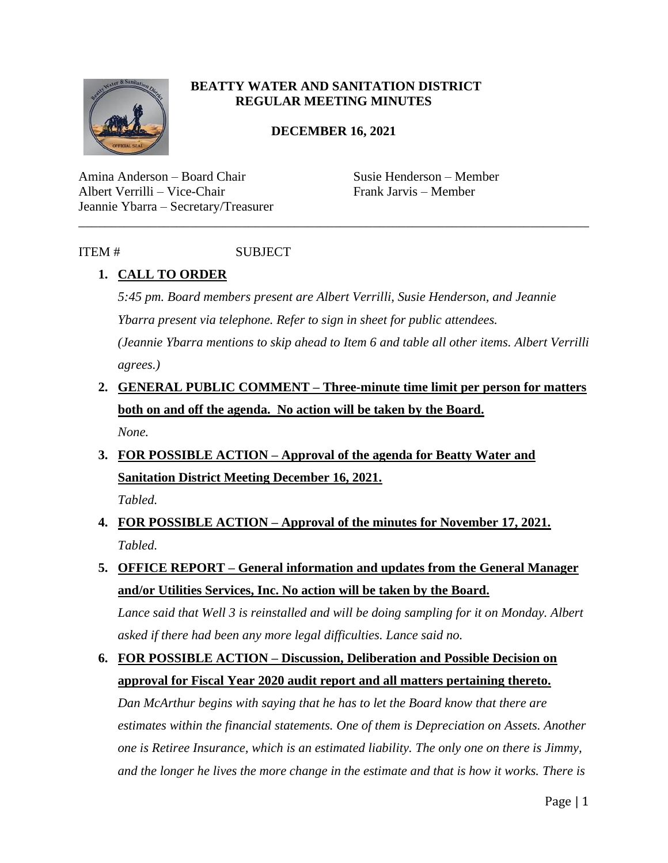

#### **BEATTY WATER AND SANITATION DISTRICT REGULAR MEETING MINUTES**

#### **DECEMBER 16, 2021**

\_\_\_\_\_\_\_\_\_\_\_\_\_\_\_\_\_\_\_\_\_\_\_\_\_\_\_\_\_\_\_\_\_\_\_\_\_\_\_\_\_\_\_\_\_\_\_\_\_\_\_\_\_\_\_\_\_\_\_\_\_\_\_\_\_\_\_\_\_\_\_\_\_\_\_\_\_\_

Amina Anderson – Board Chair Susie Henderson – Member Albert Verrilli – Vice-Chair Frank Jarvis – Member Jeannie Ybarra – Secretary/Treasurer

## ITEM # SUBJECT

## **1. CALL TO ORDER**

*5:45 pm. Board members present are Albert Verrilli, Susie Henderson, and Jeannie Ybarra present via telephone. Refer to sign in sheet for public attendees.* 

*(Jeannie Ybarra mentions to skip ahead to Item 6 and table all other items. Albert Verrilli agrees.)* 

- **2. GENERAL PUBLIC COMMENT – Three-minute time limit per person for matters both on and off the agenda. No action will be taken by the Board.** *None.*
- **3. FOR POSSIBLE ACTION – Approval of the agenda for Beatty Water and Sanitation District Meeting December 16, 2021.** *Tabled.*

**4. FOR POSSIBLE ACTION – Approval of the minutes for November 17, 2021.** *Tabled.* 

- **5. OFFICE REPORT – General information and updates from the General Manager and/or Utilities Services, Inc. No action will be taken by the Board.**  *Lance said that Well 3 is reinstalled and will be doing sampling for it on Monday. Albert asked if there had been any more legal difficulties. Lance said no.*
- **6. FOR POSSIBLE ACTION – Discussion, Deliberation and Possible Decision on approval for Fiscal Year 2020 audit report and all matters pertaining thereto.**

*Dan McArthur begins with saying that he has to let the Board know that there are estimates within the financial statements. One of them is Depreciation on Assets. Another one is Retiree Insurance, which is an estimated liability. The only one on there is Jimmy, and the longer he lives the more change in the estimate and that is how it works. There is*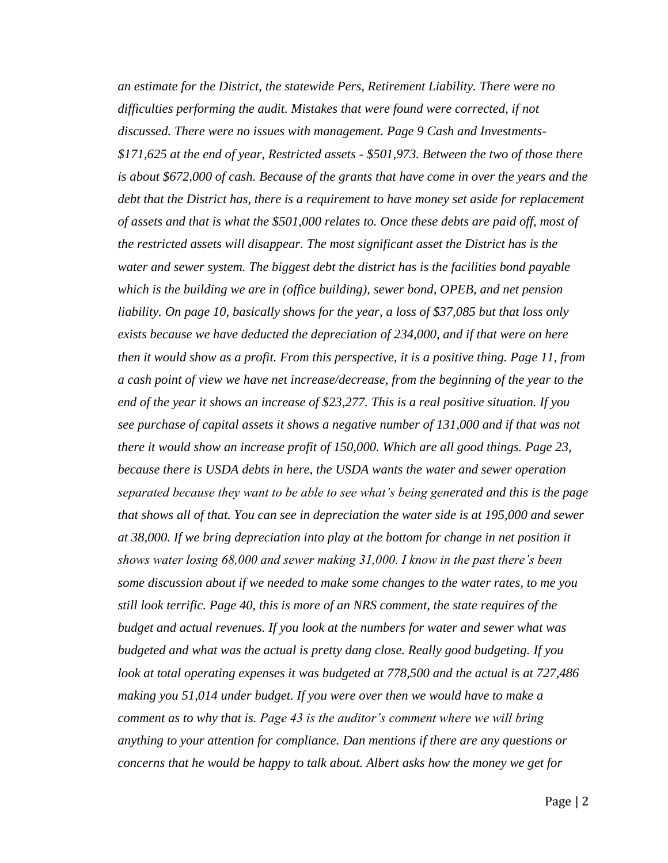*an estimate for the District, the statewide Pers, Retirement Liability. There were no difficulties performing the audit. Mistakes that were found were corrected, if not discussed. There were no issues with management. Page 9 Cash and Investments- \$171,625 at the end of year, Restricted assets - \$501,973. Between the two of those there is about \$672,000 of cash. Because of the grants that have come in over the years and the debt that the District has, there is a requirement to have money set aside for replacement of assets and that is what the \$501,000 relates to. Once these debts are paid off, most of the restricted assets will disappear. The most significant asset the District has is the water and sewer system. The biggest debt the district has is the facilities bond payable which is the building we are in (office building), sewer bond, OPEB, and net pension*  liability. On page 10, basically shows for the year, a loss of \$37,085 but that loss only *exists because we have deducted the depreciation of 234,000, and if that were on here then it would show as a profit. From this perspective, it is a positive thing. Page 11, from a cash point of view we have net increase/decrease, from the beginning of the year to the end of the year it shows an increase of \$23,277. This is a real positive situation. If you see purchase of capital assets it shows a negative number of 131,000 and if that was not there it would show an increase profit of 150,000. Which are all good things. Page 23, because there is USDA debts in here, the USDA wants the water and sewer operation separated because they want to be able to see what's being generated and this is the page that shows all of that. You can see in depreciation the water side is at 195,000 and sewer at 38,000. If we bring depreciation into play at the bottom for change in net position it shows water losing 68,000 and sewer making 31,000. I know in the past there's been some discussion about if we needed to make some changes to the water rates, to me you still look terrific. Page 40, this is more of an NRS comment, the state requires of the budget and actual revenues. If you look at the numbers for water and sewer what was budgeted and what was the actual is pretty dang close. Really good budgeting. If you look at total operating expenses it was budgeted at 778,500 and the actual is at 727,486 making you 51,014 under budget. If you were over then we would have to make a comment as to why that is. Page 43 is the auditor's comment where we will bring anything to your attention for compliance. Dan mentions if there are any questions or concerns that he would be happy to talk about. Albert asks how the money we get for*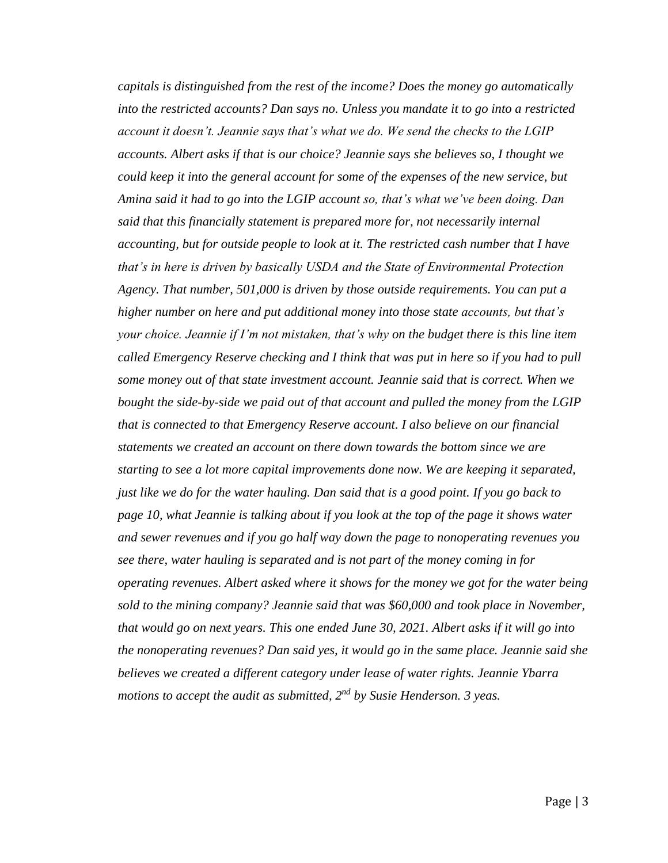*capitals is distinguished from the rest of the income? Does the money go automatically into the restricted accounts? Dan says no. Unless you mandate it to go into a restricted account it doesn't. Jeannie says that's what we do. We send the checks to the LGIP accounts. Albert asks if that is our choice? Jeannie says she believes so, I thought we could keep it into the general account for some of the expenses of the new service, but Amina said it had to go into the LGIP account so, that's what we've been doing. Dan said that this financially statement is prepared more for, not necessarily internal accounting, but for outside people to look at it. The restricted cash number that I have that's in here is driven by basically USDA and the State of Environmental Protection Agency. That number, 501,000 is driven by those outside requirements. You can put a higher number on here and put additional money into those state accounts, but that's your choice. Jeannie if I'm not mistaken, that's why on the budget there is this line item called Emergency Reserve checking and I think that was put in here so if you had to pull some money out of that state investment account. Jeannie said that is correct. When we bought the side-by-side we paid out of that account and pulled the money from the LGIP that is connected to that Emergency Reserve account. I also believe on our financial statements we created an account on there down towards the bottom since we are starting to see a lot more capital improvements done now. We are keeping it separated, just like we do for the water hauling. Dan said that is a good point. If you go back to page 10, what Jeannie is talking about if you look at the top of the page it shows water and sewer revenues and if you go half way down the page to nonoperating revenues you see there, water hauling is separated and is not part of the money coming in for operating revenues. Albert asked where it shows for the money we got for the water being sold to the mining company? Jeannie said that was \$60,000 and took place in November, that would go on next years. This one ended June 30, 2021. Albert asks if it will go into the nonoperating revenues? Dan said yes, it would go in the same place. Jeannie said she believes we created a different category under lease of water rights. Jeannie Ybarra motions to accept the audit as submitted, 2<sup>nd</sup> by Susie Henderson. 3 yeas.*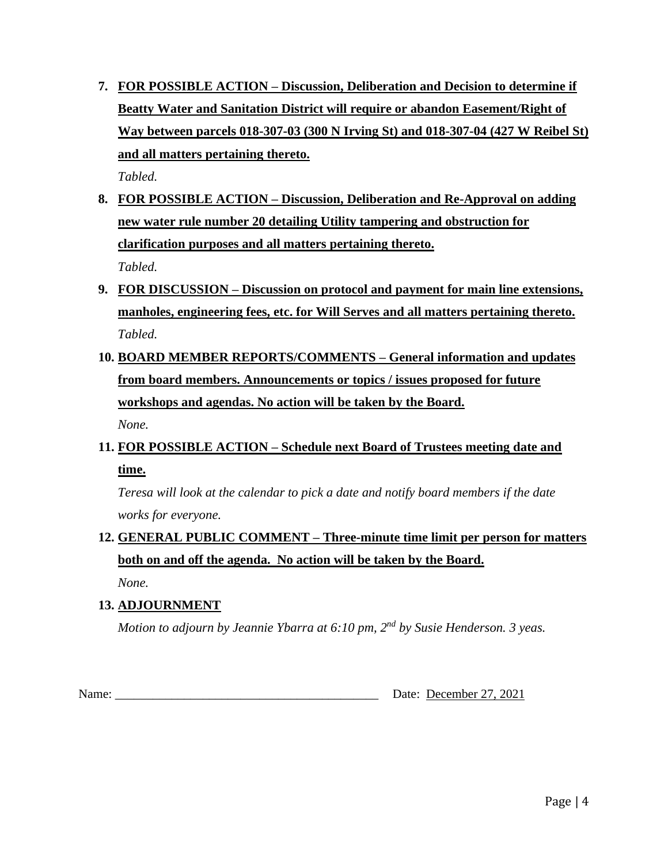**7. FOR POSSIBLE ACTION – Discussion, Deliberation and Decision to determine if Beatty Water and Sanitation District will require or abandon Easement/Right of Way between parcels 018-307-03 (300 N Irving St) and 018-307-04 (427 W Reibel St) and all matters pertaining thereto.**

*Tabled.*

- **8. FOR POSSIBLE ACTION – Discussion, Deliberation and Re-Approval on adding new water rule number 20 detailing Utility tampering and obstruction for clarification purposes and all matters pertaining thereto.** *Tabled.*
- **9. FOR DISCUSSION – Discussion on protocol and payment for main line extensions, manholes, engineering fees, etc. for Will Serves and all matters pertaining thereto.** *Tabled.*
- **10. BOARD MEMBER REPORTS/COMMENTS – General information and updates from board members. Announcements or topics / issues proposed for future workshops and agendas. No action will be taken by the Board.**  *None.*
- **11. FOR POSSIBLE ACTION – Schedule next Board of Trustees meeting date and time.**

*Teresa will look at the calendar to pick a date and notify board members if the date works for everyone.* 

# **12. GENERAL PUBLIC COMMENT – Three-minute time limit per person for matters both on and off the agenda. No action will be taken by the Board.**

*None.* 

### **13. ADJOURNMENT**

*Motion to adjourn by Jeannie Ybarra at 6:10 pm, 2nd by Susie Henderson. 3 yeas.*

Name: Date: December 27, 2021